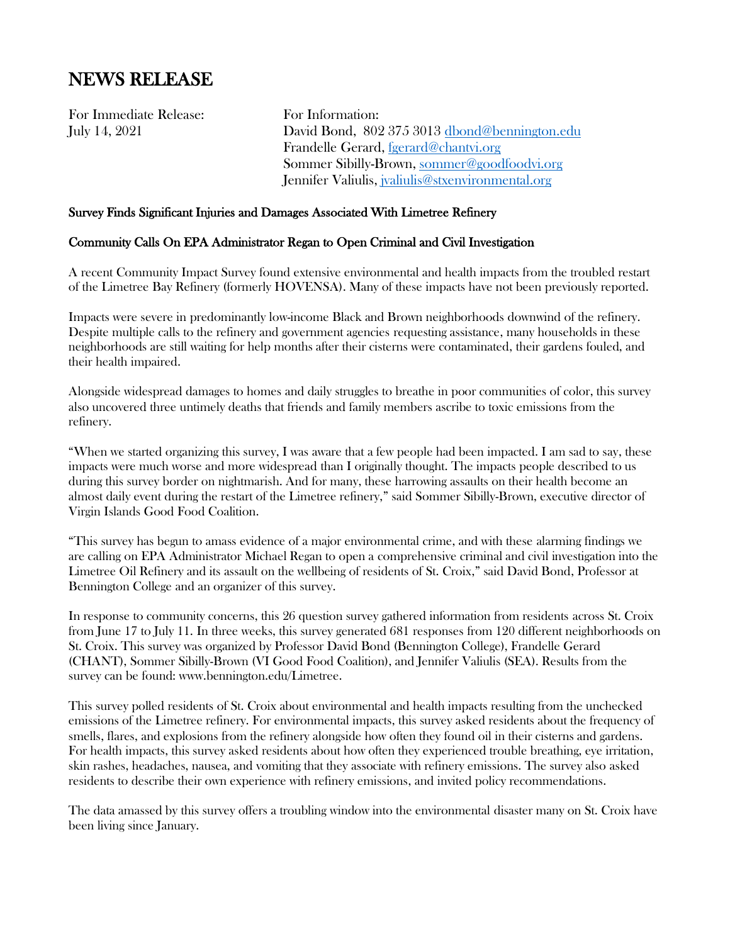# NEWS RELEASE

For Immediate Release: For Information:

July 14, 2021 David Bond, 802 375 3013 [dbond@bennington.edu](mailto:dbond@bennington.edu) Frandelle Gerard, [fgerard@chantvi.org](mailto:fgerard@chantvi.org) Sommer Sibilly-Brown[, sommer@goodfoodvi.org](mailto:sommer@goodfoodvi.org) Jennifer Valiulis, [jvaliulis@stxenvironmental.org](mailto:jvaliulis@stxenvironmental.org)

### Survey Finds Significant Injuries and Damages Associated With Limetree Refinery

#### Community Calls On EPA Administrator Regan to Open Criminal and Civil Investigation

A recent Community Impact Survey found extensive environmental and health impacts from the troubled restart of the Limetree Bay Refinery (formerly HOVENSA). Many of these impacts have not been previously reported.

Impacts were severe in predominantly low-income Black and Brown neighborhoods downwind of the refinery. Despite multiple calls to the refinery and government agencies requesting assistance, many households in these neighborhoods are still waiting for help months after their cisterns were contaminated, their gardens fouled, and their health impaired.

Alongside widespread damages to homes and daily struggles to breathe in poor communities of color, this survey also uncovered three untimely deaths that friends and family members ascribe to toxic emissions from the refinery.

"When we started organizing this survey, I was aware that a few people had been impacted. I am sad to say, these impacts were much worse and more widespread than I originally thought. The impacts people described to us during this survey border on nightmarish. And for many, these harrowing assaults on their health become an almost daily event during the restart of the Limetree refinery," said Sommer Sibilly-Brown, executive director of Virgin Islands Good Food Coalition.

"This survey has begun to amass evidence of a major environmental crime, and with these alarming findings we are calling on EPA Administrator Michael Regan to open a comprehensive criminal and civil investigation into the Limetree Oil Refinery and its assault on the wellbeing of residents of St. Croix," said David Bond, Professor at Bennington College and an organizer of this survey.

In response to community concerns, this 26 question survey gathered information from residents across St. Croix from June 17 to July 11. In three weeks, this survey generated 681 responses from 120 different neighborhoods on St. Croix. This survey was organized by Professor David Bond (Bennington College), Frandelle Gerard (CHANT), Sommer Sibilly-Brown (VI Good Food Coalition), and Jennifer Valiulis (SEA). Results from the survey can be found: www.bennington.edu/Limetree.

This survey polled residents of St. Croix about environmental and health impacts resulting from the unchecked emissions of the Limetree refinery. For environmental impacts, this survey asked residents about the frequency of smells, flares, and explosions from the refinery alongside how often they found oil in their cisterns and gardens. For health impacts, this survey asked residents about how often they experienced trouble breathing, eye irritation, skin rashes, headaches, nausea, and vomiting that they associate with refinery emissions. The survey also asked residents to describe their own experience with refinery emissions, and invited policy recommendations.

The data amassed by this survey offers a troubling window into the environmental disaster many on St. Croix have been living since January.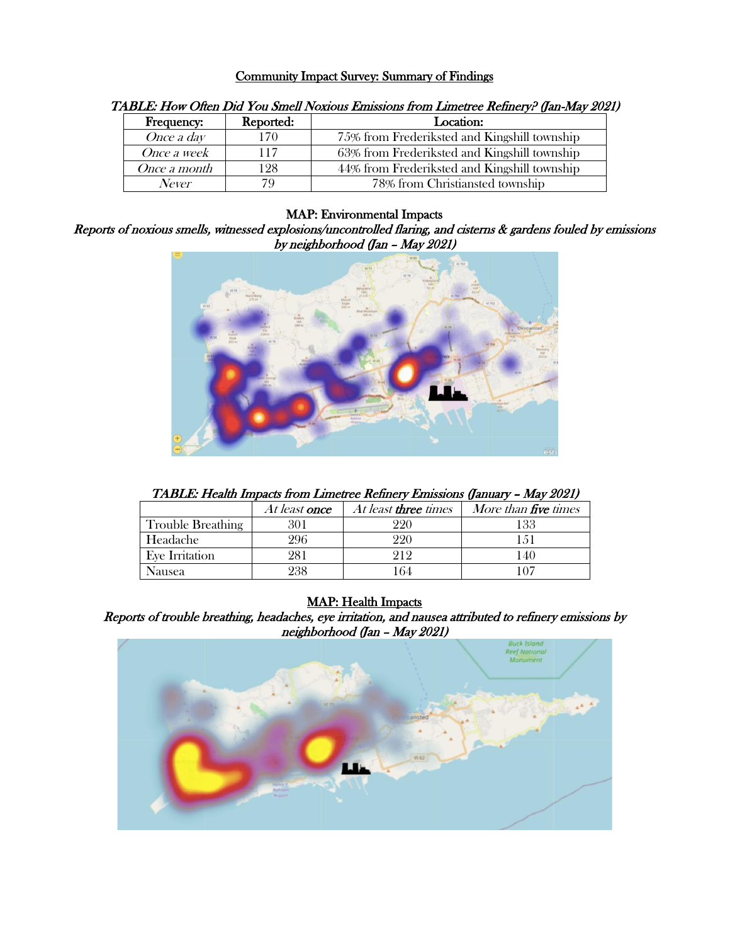#### Community Impact Survey: Summary of Findings

| $1.222221$ $1.0011$ $1.001$ $1.001$ $0.01021$ $1.00100$ $0.01000$ $0.011$ $0.011$ $0.01100$ $0.01000$ $0.001100$ $0.00100$ |           |                                              |  |  |
|----------------------------------------------------------------------------------------------------------------------------|-----------|----------------------------------------------|--|--|
| <b>Frequency:</b>                                                                                                          | Reported: | Location:                                    |  |  |
| Once a day                                                                                                                 |           | 75% from Frederiksted and Kingshill township |  |  |
| Once a week                                                                                                                | 117       | 63% from Frederiksted and Kingshill township |  |  |
| <i>Once a month</i>                                                                                                        | 128       | 44% from Frederiksted and Kingshill township |  |  |
| <b>Never</b>                                                                                                               |           | 78% from Christiansted township              |  |  |

#### TABLE: How Often Did You Smell Noxious Emissions from Limetree Refinery? (Jan-May 2021)

#### MAP: Environmental Impacts

Reports of noxious smells, witnessed explosions/uncontrolled flaring, and cisterns & gardens fouled by emissions by neighborhood (Jan – May 2021)



TABLE: Health Impacts from Limetree Refinery Emissions (January – May 2021)

|                          | <i>At least once</i> | At least <b>three</b> times | More than five times |
|--------------------------|----------------------|-----------------------------|----------------------|
| <b>Trouble Breathing</b> |                      |                             | 133                  |
| Headache                 | 296                  |                             |                      |
| Eye Irritation           | 281                  |                             | 40                   |
| Nausea                   | 238                  |                             |                      |

## MAP: Health Impacts

Reports of trouble breathing, headaches, eye irritation, and nausea attributed to refinery emissions by neighborhood (Jan – May 2021)

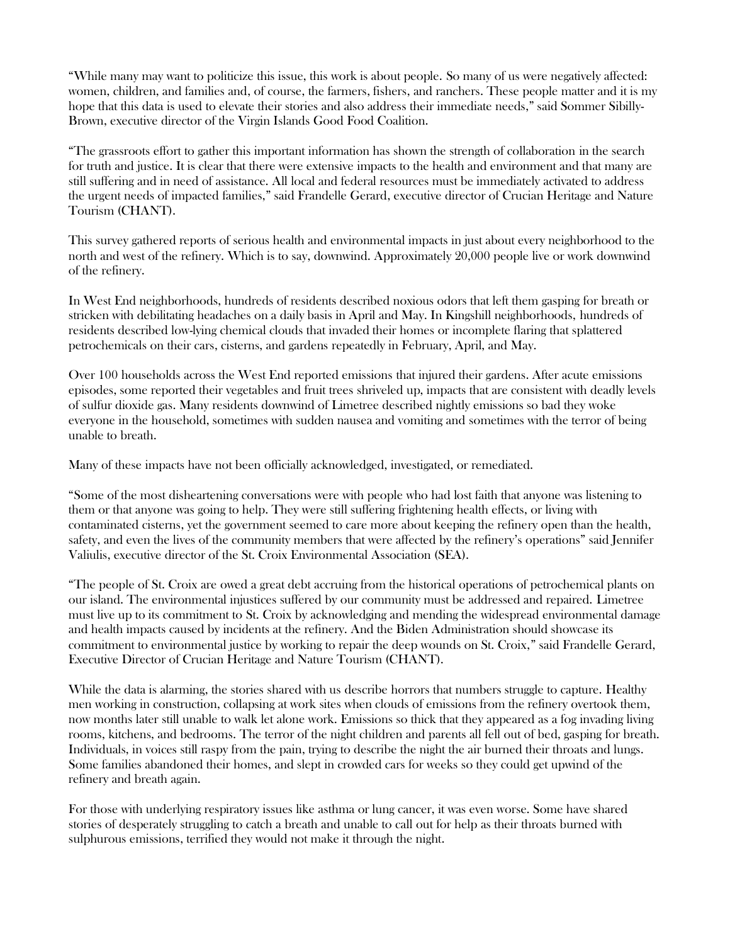"While many may want to politicize this issue, this work is about people. So many of us were negatively affected: women, children, and families and, of course, the farmers, fishers, and ranchers. These people matter and it is my hope that this data is used to elevate their stories and also address their immediate needs," said Sommer Sibilly-Brown, executive director of the Virgin Islands Good Food Coalition.

"The grassroots effort to gather this important information has shown the strength of collaboration in the search for truth and justice. It is clear that there were extensive impacts to the health and environment and that many are still suffering and in need of assistance. All local and federal resources must be immediately activated to address the urgent needs of impacted families," said Frandelle Gerard, executive director of Crucian Heritage and Nature Tourism (CHANT).

This survey gathered reports of serious health and environmental impacts in just about every neighborhood to the north and west of the refinery. Which is to say, downwind. Approximately 20,000 people live or work downwind of the refinery.

In West End neighborhoods, hundreds of residents described noxious odors that left them gasping for breath or stricken with debilitating headaches on a daily basis in April and May. In Kingshill neighborhoods, hundreds of residents described low-lying chemical clouds that invaded their homes or incomplete flaring that splattered petrochemicals on their cars, cisterns, and gardens repeatedly in February, April, and May.

Over 100 households across the West End reported emissions that injured their gardens. After acute emissions episodes, some reported their vegetables and fruit trees shriveled up, impacts that are consistent with deadly levels of sulfur dioxide gas. Many residents downwind of Limetree described nightly emissions so bad they woke everyone in the household, sometimes with sudden nausea and vomiting and sometimes with the terror of being unable to breath.

Many of these impacts have not been officially acknowledged, investigated, or remediated.

"Some of the most disheartening conversations were with people who had lost faith that anyone was listening to them or that anyone was going to help. They were still suffering frightening health effects, or living with contaminated cisterns, yet the government seemed to care more about keeping the refinery open than the health, safety, and even the lives of the community members that were affected by the refinery's operations" said Jennifer Valiulis, executive director of the St. Croix Environmental Association (SEA).

"The people of St. Croix are owed a great debt accruing from the historical operations of petrochemical plants on our island. The environmental injustices suffered by our community must be addressed and repaired. Limetree must live up to its commitment to St. Croix by acknowledging and mending the widespread environmental damage and health impacts caused by incidents at the refinery. And the Biden Administration should showcase its commitment to environmental justice by working to repair the deep wounds on St. Croix," said Frandelle Gerard, Executive Director of Crucian Heritage and Nature Tourism (CHANT).

While the data is alarming, the stories shared with us describe horrors that numbers struggle to capture. Healthy men working in construction, collapsing at work sites when clouds of emissions from the refinery overtook them, now months later still unable to walk let alone work. Emissions so thick that they appeared as a fog invading living rooms, kitchens, and bedrooms. The terror of the night children and parents all fell out of bed, gasping for breath. Individuals, in voices still raspy from the pain, trying to describe the night the air burned their throats and lungs. Some families abandoned their homes, and slept in crowded cars for weeks so they could get upwind of the refinery and breath again.

For those with underlying respiratory issues like asthma or lung cancer, it was even worse. Some have shared stories of desperately struggling to catch a breath and unable to call out for help as their throats burned with sulphurous emissions, terrified they would not make it through the night.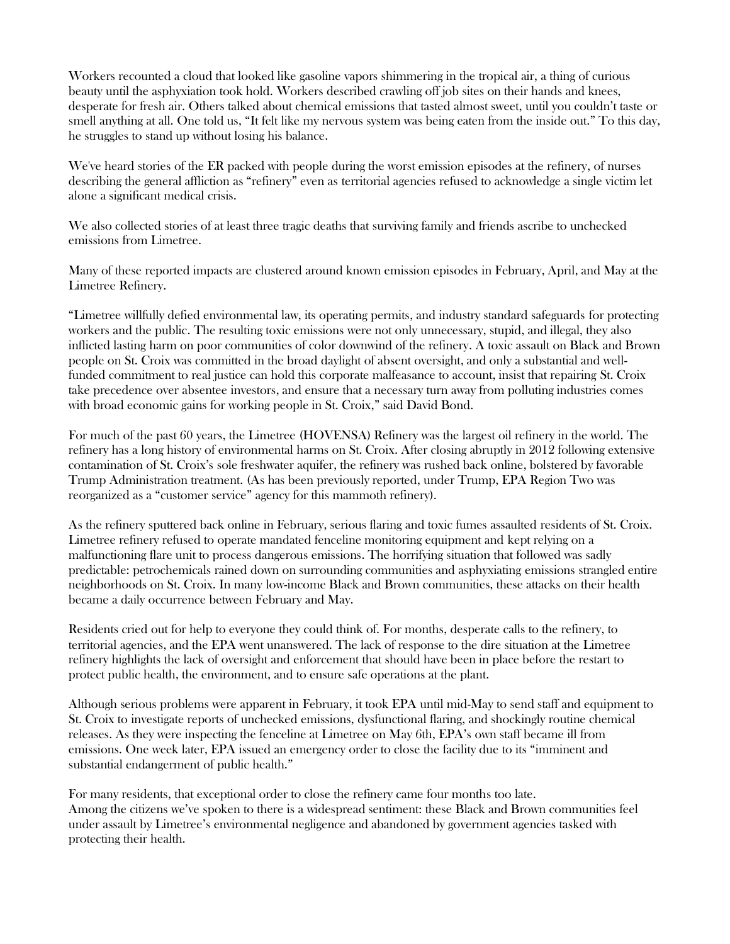Workers recounted a cloud that looked like gasoline vapors shimmering in the tropical air, a thing of curious beauty until the asphyxiation took hold. Workers described crawling off job sites on their hands and knees, desperate for fresh air. Others talked about chemical emissions that tasted almost sweet, until you couldn't taste or smell anything at all. One told us, "It felt like my nervous system was being eaten from the inside out." To this day, he struggles to stand up without losing his balance.

We've heard stories of the ER packed with people during the worst emission episodes at the refinery, of nurses describing the general affliction as "refinery" even as territorial agencies refused to acknowledge a single victim let alone a significant medical crisis.

We also collected stories of at least three tragic deaths that surviving family and friends ascribe to unchecked emissions from Limetree.

Many of these reported impacts are clustered around known emission episodes in February, April, and May at the Limetree Refinery.

"Limetree willfully defied environmental law, its operating permits, and industry standard safeguards for protecting workers and the public. The resulting toxic emissions were not only unnecessary, stupid, and illegal, they also inflicted lasting harm on poor communities of color downwind of the refinery. A toxic assault on Black and Brown people on St. Croix was committed in the broad daylight of absent oversight, and only a substantial and wellfunded commitment to real justice can hold this corporate malfeasance to account, insist that repairing St. Croix take precedence over absentee investors, and ensure that a necessary turn away from polluting industries comes with broad economic gains for working people in St. Croix," said David Bond.

For much of the past 60 years, the Limetree (HOVENSA) Refinery was the largest oil refinery in the world. The refinery has a long history of environmental harms on St. Croix. After closing abruptly in 2012 following extensive contamination of St. Croix's sole freshwater aquifer, the refinery was rushed back online, bolstered by favorable Trump Administration treatment. (As has been previously reported, under Trump, EPA Region Two was reorganized as a "customer service" agency for this mammoth refinery).

As the refinery sputtered back online in February, serious flaring and toxic fumes assaulted residents of St. Croix. Limetree refinery refused to operate mandated fenceline monitoring equipment and kept relying on a malfunctioning flare unit to process dangerous emissions. The horrifying situation that followed was sadly predictable: petrochemicals rained down on surrounding communities and asphyxiating emissions strangled entire neighborhoods on St. Croix. In many low-income Black and Brown communities, these attacks on their health became a daily occurrence between February and May.

Residents cried out for help to everyone they could think of. For months, desperate calls to the refinery, to territorial agencies, and the EPA went unanswered. The lack of response to the dire situation at the Limetree refinery highlights the lack of oversight and enforcement that should have been in place before the restart to protect public health, the environment, and to ensure safe operations at the plant.

Although serious problems were apparent in February, it took EPA until mid-May to send staff and equipment to St. Croix to investigate reports of unchecked emissions, dysfunctional flaring, and shockingly routine chemical releases. As they were inspecting the fenceline at Limetree on May 6th, EPA's own staff became ill from emissions. One week later, EPA issued an emergency order to close the facility due to its "imminent and substantial endangerment of public health."

For many residents, that exceptional order to close the refinery came four months too late. Among the citizens we've spoken to there is a widespread sentiment: these Black and Brown communities feel under assault by Limetree's environmental negligence and abandoned by government agencies tasked with protecting their health.